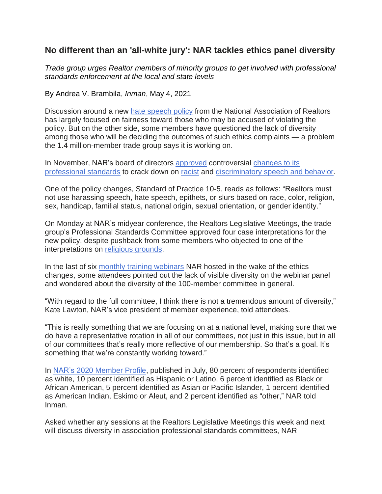# **No different than an 'all-white jury': NAR tackles ethics panel diversity**

*Trade group urges Realtor members of minority groups to get involved with professional standards enforcement at the local and state levels*

By Andrea V. Brambila, *Inman*, May 4, 2021

Discussion around a new hate [speech](https://nam11.safelinks.protection.outlook.com/?url=https%3A%2F%2Fwww.inman.com%2F2021%2F02%2F11%2Fnar-sanctions-for-hate-speech-not-a-slap-on-the-hand%2F&data=04%7C01%7Chweiss%40nhc.org%7C1441caf151c941e823c508d910ac5a79%7C7b80d255ea714d27aed486e9a91d6771%7C1%7C0%7C637559154729353382%7CUnknown%7CTWFpbGZsb3d8eyJWIjoiMC4wLjAwMDAiLCJQIjoiV2luMzIiLCJBTiI6Ik1haWwiLCJXVCI6Mn0%3D%7C1000&sdata=J7VPIskP%2BN1%2FG7jupv7dGop0l6ALPlyX2cY28cxVjwA%3D&reserved=0) policy from the National Association of Realtors has largely focused on fairness toward those who may be accused of violating the policy. But on the other side, some members have questioned the lack of diversity among those who will be deciding the outcomes of such ethics complaints — a problem the 1.4 million-member trade group says it is working on.

In November, NAR's board of directors [approved](https://nam11.safelinks.protection.outlook.com/?url=https%3A%2F%2Fwww.inman.com%2F2020%2F11%2F13%2Fnar-passes-ethics-changes-to-crack-down-on-social-media-harassment%2F&data=04%7C01%7Chweiss%40nhc.org%7C1441caf151c941e823c508d910ac5a79%7C7b80d255ea714d27aed486e9a91d6771%7C1%7C0%7C637559154729363373%7CUnknown%7CTWFpbGZsb3d8eyJWIjoiMC4wLjAwMDAiLCJQIjoiV2luMzIiLCJBTiI6Ik1haWwiLCJXVCI6Mn0%3D%7C1000&sdata=aBo25Oin5X5yY28TNU2he%2BSHvfixVg0mv6czo5m2l%2FY%3D&reserved=0) controversial [changes](https://nam11.safelinks.protection.outlook.com/?url=https%3A%2F%2Fwww.inman.com%2F2020%2F10%2F14%2Fnar-proposes-ethics-changes-to-crack-down-on-social-media-harassment%2F&data=04%7C01%7Chweiss%40nhc.org%7C1441caf151c941e823c508d910ac5a79%7C7b80d255ea714d27aed486e9a91d6771%7C1%7C0%7C637559154729373369%7CUnknown%7CTWFpbGZsb3d8eyJWIjoiMC4wLjAwMDAiLCJQIjoiV2luMzIiLCJBTiI6Ik1haWwiLCJXVCI6Mn0%3D%7C1000&sdata=RTFATiFFVZsFzypCsaaDo8WnlhVnByR8lBH24LKZ%2F5w%3D&reserved=0) to its [professional](https://nam11.safelinks.protection.outlook.com/?url=https%3A%2F%2Fwww.inman.com%2F2020%2F10%2F14%2Fnar-proposes-ethics-changes-to-crack-down-on-social-media-harassment%2F&data=04%7C01%7Chweiss%40nhc.org%7C1441caf151c941e823c508d910ac5a79%7C7b80d255ea714d27aed486e9a91d6771%7C1%7C0%7C637559154729373369%7CUnknown%7CTWFpbGZsb3d8eyJWIjoiMC4wLjAwMDAiLCJQIjoiV2luMzIiLCJBTiI6Ik1haWwiLCJXVCI6Mn0%3D%7C1000&sdata=RTFATiFFVZsFzypCsaaDo8WnlhVnByR8lBH24LKZ%2F5w%3D&reserved=0) standards to crack down on [racist](https://nam11.safelinks.protection.outlook.com/?url=https%3A%2F%2Fwww.inman.com%2F2020%2F10%2F28%2Fagent-fired-and-arrested-for-racist-incident-caught-on-viral-video%2F&data=04%7C01%7Chweiss%40nhc.org%7C1441caf151c941e823c508d910ac5a79%7C7b80d255ea714d27aed486e9a91d6771%7C1%7C0%7C637559154729373369%7CUnknown%7CTWFpbGZsb3d8eyJWIjoiMC4wLjAwMDAiLCJQIjoiV2luMzIiLCJBTiI6Ik1haWwiLCJXVCI6Mn0%3D%7C1000&sdata=moQpbOAUUhg6LT%2FLw%2FB0wfKHVTBWIQoibZi%2BN%2BLcf5Q%3D&reserved=0) and [discriminatory](https://nam11.safelinks.protection.outlook.com/?url=https%3A%2F%2Fwww.inman.com%2F2020%2F08%2F01%2Ffair-housing-laws-how-you-can-prevent-discriminatory-practices%2F&data=04%7C01%7Chweiss%40nhc.org%7C1441caf151c941e823c508d910ac5a79%7C7b80d255ea714d27aed486e9a91d6771%7C1%7C0%7C637559154729383365%7CUnknown%7CTWFpbGZsb3d8eyJWIjoiMC4wLjAwMDAiLCJQIjoiV2luMzIiLCJBTiI6Ik1haWwiLCJXVCI6Mn0%3D%7C1000&sdata=7c5%2FgARYTLGgTOBjxQDdIbF5v6OCWiBxnixS8cA9hmM%3D&reserved=0) speech and behavior.

One of the policy changes, Standard of Practice 10-5, reads as follows: "Realtors must not use harassing speech, hate speech, epithets, or slurs based on race, color, religion, sex, handicap, familial status, national origin, sexual orientation, or gender identity."

On Monday at NAR's midyear conference, the Realtors Legislative Meetings, the trade group's Professional Standards Committee approved four case interpretations for the new policy, despite pushback from some members who objected to one of the interpretations on religious [grounds.](https://nam11.safelinks.protection.outlook.com/?url=https%3A%2F%2Fwww.inman.com%2F2021%2F05%2F04%2Freligion-is-no-safe-harbor-nar-rules-in-controversial-hate-speech-policy%2F&data=04%7C01%7Chweiss%40nhc.org%7C1441caf151c941e823c508d910ac5a79%7C7b80d255ea714d27aed486e9a91d6771%7C1%7C0%7C637559154729393356%7CUnknown%7CTWFpbGZsb3d8eyJWIjoiMC4wLjAwMDAiLCJQIjoiV2luMzIiLCJBTiI6Ik1haWwiLCJXVCI6Mn0%3D%7C1000&sdata=rpwLK8n2akBdifuHhgjI1jpnqespAZv6S1WBA5snH%2Bg%3D&reserved=0)

In the last of six monthly training [webinars](https://nam11.safelinks.protection.outlook.com/?url=https%3A%2F%2Fwww.nar.realtor%2Fevents%2Fbreaking-down-the-changes-to-the-code&data=04%7C01%7Chweiss%40nhc.org%7C1441caf151c941e823c508d910ac5a79%7C7b80d255ea714d27aed486e9a91d6771%7C1%7C0%7C637559154729393356%7CUnknown%7CTWFpbGZsb3d8eyJWIjoiMC4wLjAwMDAiLCJQIjoiV2luMzIiLCJBTiI6Ik1haWwiLCJXVCI6Mn0%3D%7C1000&sdata=SLwnNWh354lnhDewzTKGZfZEhwP2SDShXUk2HAQgusc%3D&reserved=0) NAR hosted in the wake of the ethics changes, some attendees pointed out the lack of visible diversity on the webinar panel and wondered about the diversity of the 100-member committee in general.

"With regard to the full committee, I think there is not a tremendous amount of diversity," Kate Lawton, NAR's vice president of member experience, told attendees.

"This is really something that we are focusing on at a national level, making sure that we do have a representative rotation in all of our committees, not just in this issue, but in all of our committees that's really more reflective of our membership. So that's a goal. It's something that we're constantly working toward."

In NAR's 2020 [Member](https://nam11.safelinks.protection.outlook.com/?url=https%3A%2F%2Fwww.nar.realtor%2Fresearch-and-statistics%2Fresearch-reports%2Fhighlights-from-the-nar-member-profile&data=04%7C01%7Chweiss%40nhc.org%7C1441caf151c941e823c508d910ac5a79%7C7b80d255ea714d27aed486e9a91d6771%7C1%7C0%7C637559154729403353%7CUnknown%7CTWFpbGZsb3d8eyJWIjoiMC4wLjAwMDAiLCJQIjoiV2luMzIiLCJBTiI6Ik1haWwiLCJXVCI6Mn0%3D%7C1000&sdata=8GWaH1CZhIcbX58tcg2iXNI6jdYvFZZ8rRBzBMBRrf4%3D&reserved=0) Profile, published in July, 80 percent of respondents identified as white, 10 percent identified as Hispanic or Latino, 6 percent identified as Black or African American, 5 percent identified as Asian or Pacific Islander, 1 percent identified as American Indian, Eskimo or Aleut, and 2 percent identified as "other," NAR told Inman.

Asked whether any sessions at the Realtors Legislative Meetings this week and next will discuss diversity in association professional standards committees, NAR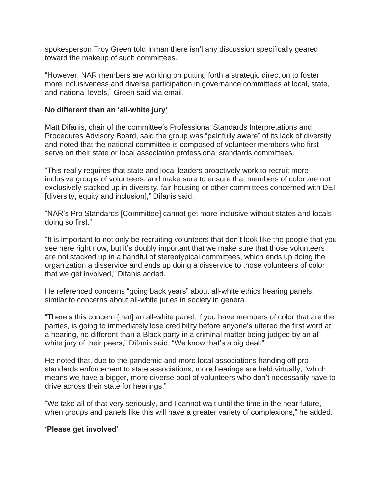spokesperson Troy Green told Inman there isn't any discussion specifically geared toward the makeup of such committees.

"However, NAR members are working on putting forth a strategic direction to foster more inclusiveness and diverse participation in governance committees at local, state, and national levels," Green said via email.

#### **No different than an 'all-white jury'**

Matt Difanis, chair of the committee's Professional Standards Interpretations and Procedures Advisory Board, said the group was "painfully aware" of its lack of diversity and noted that the national committee is composed of volunteer members who first serve on their state or local association professional standards committees.

"This really requires that state and local leaders proactively work to recruit more inclusive groups of volunteers, and make sure to ensure that members of color are not exclusively stacked up in diversity, fair housing or other committees concerned with DEI [diversity, equity and inclusion]," Difanis said.

"NAR's Pro Standards [Committee] cannot get more inclusive without states and locals doing so first."

"It is important to not only be recruiting volunteers that don't look like the people that you see here right now, but it's doubly important that we make sure that those volunteers are not stacked up in a handful of stereotypical committees, which ends up doing the organization a disservice and ends up doing a disservice to those volunteers of color that we get involved," Difanis added.

He referenced concerns "going back years" about all-white ethics hearing panels, similar to concerns about all-white juries in society in general.

"There's this concern [that] an all-white panel, if you have members of color that are the parties, is going to immediately lose credibility before anyone's uttered the first word at a hearing, no different than a Black party in a criminal matter being judged by an allwhite jury of their peers," Difanis said. "We know that's a big deal."

He noted that, due to the pandemic and more local associations handing off pro standards enforcement to state associations, more hearings are held virtually, "which means we have a bigger, more diverse pool of volunteers who don't necessarily have to drive across their state for hearings."

"We take all of that very seriously, and I cannot wait until the time in the near future, when groups and panels like this will have a greater variety of complexions," he added.

### **'Please get involved'**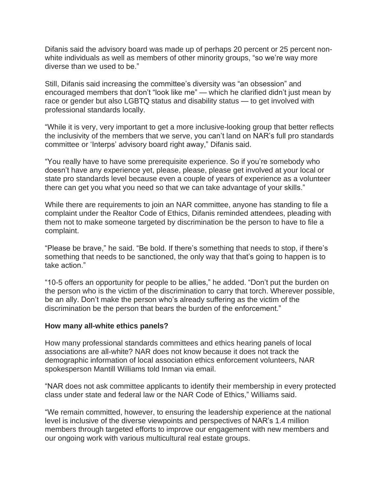Difanis said the advisory board was made up of perhaps 20 percent or 25 percent nonwhite individuals as well as members of other minority groups, "so we're way more diverse than we used to be."

Still, Difanis said increasing the committee's diversity was "an obsession" and encouraged members that don't "look like me" — which he clarified didn't just mean by race or gender but also LGBTQ status and disability status — to get involved with professional standards locally.

"While it is very, very important to get a more inclusive-looking group that better reflects the inclusivity of the members that we serve, you can't land on NAR's full pro standards committee or 'Interps' advisory board right away," Difanis said.

"You really have to have some prerequisite experience. So if you're somebody who doesn't have any experience yet, please, please, please get involved at your local or state pro standards level because even a couple of years of experience as a volunteer there can get you what you need so that we can take advantage of your skills."

While there are requirements to join an NAR committee, anyone has standing to file a complaint under the Realtor Code of Ethics, Difanis reminded attendees, pleading with them not to make someone targeted by discrimination be the person to have to file a complaint.

"Please be brave," he said. "Be bold. If there's something that needs to stop, if there's something that needs to be sanctioned, the only way that that's going to happen is to take action."

"10-5 offers an opportunity for people to be allies," he added. "Don't put the burden on the person who is the victim of the discrimination to carry that torch. Wherever possible, be an ally. Don't make the person who's already suffering as the victim of the discrimination be the person that bears the burden of the enforcement."

#### **How many all-white ethics panels?**

How many professional standards committees and ethics hearing panels of local associations are all-white? NAR does not know because it does not track the demographic information of local association ethics enforcement volunteers, NAR spokesperson Mantill Williams told Inman via email.

"NAR does not ask committee applicants to identify their membership in every protected class under state and federal law or the NAR Code of Ethics," Williams said.

"We remain committed, however, to ensuring the leadership experience at the national level is inclusive of the diverse viewpoints and perspectives of NAR's 1.4 million members through targeted efforts to improve our engagement with new members and our ongoing work with various multicultural real estate groups.